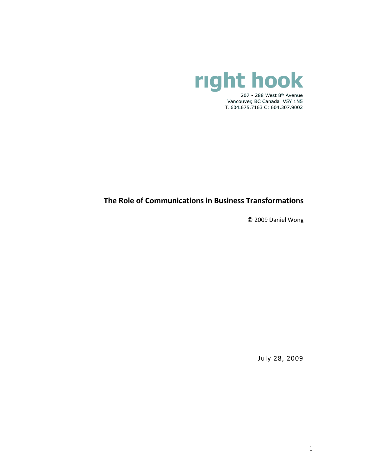

# **The Role of Communications in Business Transformations**

© 2009 Daniel Wong

July 28, 2009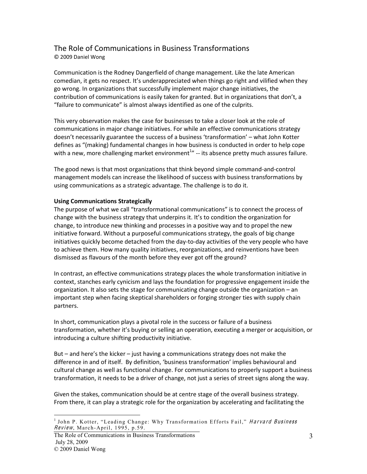# The Role of Communications in Business Transformations

©"2009"Daniel"Wong

Communication is the Rodney Dangerfield of change management. Like the late American comedian, it gets no respect. It's underappreciated when things go right and vilified when they go wrong. In organizations that successfully implement major change initiatives, the contribution of communications is easily taken for granted. But in organizations that don't, a "failure to communicate" is almost always identified as one of the culprits.

This very observation makes the case for businesses to take a closer look at the role of communications in major change initiatives. For while an effective communications strategy doesn't necessarily guarantee the success of a business 'transformation' – what John Kotter defines as "(making) fundamental changes in how business is conducted in order to help cope with a new, more challenging market environment<sup>1</sup>" -- its absence pretty much assures failure.

The good news is that most organizations that think beyond simple command-and-control management models can increase the likelihood of success with business transformations by using communications as a strategic advantage. The challenge is to do it.

## **Using Communications Strategically**

The purpose of what we call "transformational communications" is to connect the process of change with the business strategy that underpins it. It's to condition the organization for change, to introduce new thinking and processes in a positive way and to propel the new initiative forward. Without a purposeful communications strategy, the goals of big change initiatives quickly become detached from the day-to-day activities of the very people who have to achieve them. How many quality initiatives, reorganizations, and reinventions have been dismissed as flavours of the month before they ever got off the ground?

In contrast, an effective communications strategy places the whole transformation initiative in context, stanches early cynicism and lays the foundation for progressive engagement inside the organization. It also sets the stage for communicating change outside the organization - an important step when facing skeptical shareholders or forging stronger ties with supply chain partners."

In short, communication plays a pivotal role in the success or failure of a business transformation, whether it's buying or selling an operation, executing a merger or acquisition, or introducing a culture shifting productivity initiative.

But  $-$  and here's the kicker  $-$  just having a communications strategy does not make the difference in and of itself. By definition, 'business transformation' implies behavioural and cultural change as well as functional change. For communications to properly support a business transformation, it needs to be a driver of change, not just a series of street signs along the way.

Given the stakes, communication should be at centre stage of the overall business strategy. From there, it can play a strategic role for the organization by accelerating and facilitating the

<sup>&</sup>lt;sup>1</sup> John P. Kotter, "Leading Change: Why Transformation Efforts Fail," Harvard Business  $Review$ , March-April, 1995, p.59.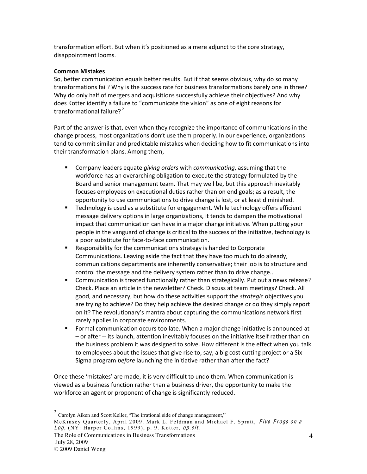transformation effort. But when it's positioned as a mere adjunct to the core strategy, disappointment looms.

#### **Common\$Mistakes**

So, better communication equals better results. But if that seems obvious, why do so many transformations fail? Why is the success rate for business transformations barely one in three? Why do only half of mergers and acquisitions successfully achieve their objectives? And why does Kotter identify a failure to "communicate the vision" as one of eight reasons for transformational failure?<sup>2</sup>

Part of the answer is that, even when they recognize the importance of communications in the change process, most organizations don't use them properly. In our experience, organizations tend to commit similar and predictable mistakes when deciding how to fit communications into their transformation plans. Among them,

- **EXTENDIATE:** Company leaders equate *giving orders* with *communicating*, assuming that the workforce has an overarching obligation to execute the strategy formulated by the Board and senior management team. That may well be, but this approach inevitably focuses employees on executional duties rather than on end goals; as a result, the opportunity to use communications to drive change is lost, or at least diminished.
- " Technology is used as a substitute for engagement. While technology offers efficient message delivery options in large organizations, it tends to dampen the motivational impact that communication can have in a major change initiative. When putting your people in the vanguard of change is critical to the success of the initiative, technology is a poor substitute for face-to-face communication.
- Responsibility for the communications strategy is handed to Corporate Communications. Leaving aside the fact that they have too much to do already, communications departments are inherently conservative; their job is to structure and control the message and the delivery system rather than to drive change..
- " Communication is treated functionally rather than strategically. Put out a news release? Check. Place an article in the newsletter? Check. Discuss at team meetings? Check. All good, and necessary, but how do these activities support the *strategic* objectives you are trying to achieve? Do they help achieve the desired change or do they simply report on it? The revolutionary's mantra about capturing the communications network first rarely applies in corporate environments.
- Formal communication occurs too late. When a major change initiative is announced at - or after -- its launch, attention inevitably focuses on the initiative itself rather than on the business problem it was designed to solve. How different is the effect when you talk to employees about the issues that give rise to, say, a big cost cutting project or a Six Sigma program *before* launching the initiative rather than after the fact?

Once these 'mistakes' are made, it is very difficult to undo them. When communication is viewed as a business function rather than a business driver, the opportunity to make the workforce an agent or proponent of change is significantly reduced.

 $2$  Carolyn Aiken and Scott Keller, "The irrational side of change management," McKinsey Quarterly, April 2009. Mark L. Feldman and Michael F. Spratt, Five Frogs on a Log, (NY: Harper Collins, 1999), p. 9. Kotter, op.cit.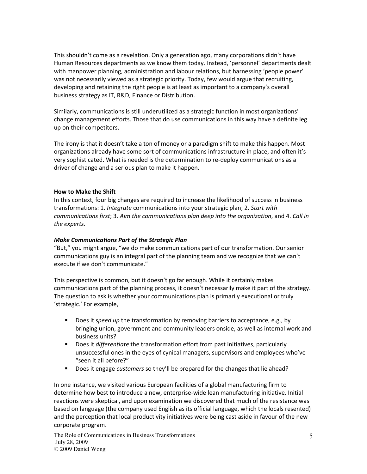This shouldn't come as a revelation. Only a generation ago, many corporations didn't have Human Resources departments as we know them today. Instead, 'personnel' departments dealt with manpower planning, administration and labour relations, but harnessing 'people power' was not necessarily viewed as a strategic priority. Today, few would argue that recruiting, developing and retaining the right people is at least as important to a company's overall business strategy as IT, R&D, Finance or Distribution.

Similarly, communications is still underutilized as a strategic function in most organizations' change management efforts. Those that do use communications in this way have a definite leg up on their competitors.

The irony is that it doesn't take a ton of money or a paradigm shift to make this happen. Most organizations already have some sort of communications infrastructure in place, and often it's very sophisticated. What is needed is the determination to re-deploy communications as a driver of change and a serious plan to make it happen.

#### **How to Make the Shift**

In this context, four big changes are required to increase the likelihood of success in business transformations: 1. *Integrate* communications into your strategic plan; 2. *Start with communications first; 3. Aim the communications plan deep into the organization, and 4. Call in* the experts.

#### *Make%Communications%Part%of%the%Strategic%Plan*

"But," you might argue, "we do make communications part of our transformation. Our senior communications guy is an integral part of the planning team and we recognize that we can't execute if we don't communicate."

This perspective is common, but it doesn't go far enough. While it certainly makes communications part of the planning process, it doesn't necessarily make it part of the strategy. The question to ask is whether your communications plan is primarily executional or truly 'strategic.' For example,

- Does it *speed up* the transformation by removing barriers to acceptance, e.g., by bringing union, government and community leaders onside, as well as internal work and business units?
- Does it *differentiate* the transformation effort from past initiatives, particularly unsuccessful ones in the eyes of cynical managers, supervisors and employees who've "seen it all before?"
- Does it engage *customers* so they'll be prepared for the changes that lie ahead?

In one instance, we visited various European facilities of a global manufacturing firm to determine how best to introduce a new, enterprise-wide lean manufacturing initiative. Initial reactions were skeptical, and upon examination we discovered that much of the resistance was based on language (the company used English as its official language, which the locals resented) and the perception that local productivity initiatives were being cast aside in favour of the new corporate program.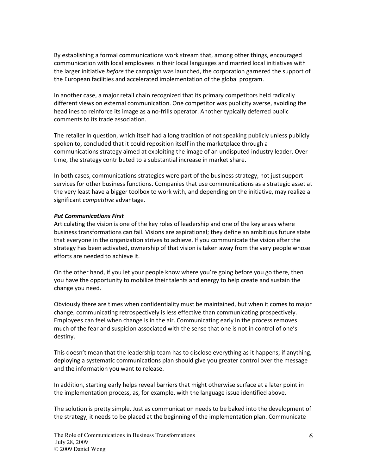By establishing a formal communications work stream that, among other things, encouraged communication with local employees in their local languages and married local initiatives with the larger initiative *before* the campaign was launched, the corporation garnered the support of the European facilities and accelerated implementation of the global program.

In another case, a major retail chain recognized that its primary competitors held radically different views on external communication. One competitor was publicity averse, avoiding the headlines to reinforce its image as a no-frills operator. Another typically deferred public comments to its trade association.

The retailer in question, which itself had a long tradition of not speaking publicly unless publicly spoken to, concluded that it could reposition itself in the marketplace through a communications strategy aimed at exploiting the image of an undisputed industry leader. Over time, the strategy contributed to a substantial increase in market share.

In both cases, communications strategies were part of the business strategy, not just support services for other business functions. Companies that use communications as a strategic asset at the very least have a bigger toolbox to work with, and depending on the initiative, may realize a significant"*competitive* advantage.

#### *Put%Communications%First*

Articulating the vision is one of the key roles of leadership and one of the key areas where business transformations can fail. Visions are aspirational; they define an ambitious future state that everyone in the organization strives to achieve. If you communicate the vision after the strategy has been activated, ownership of that vision is taken away from the very people whose efforts are needed to achieve it.

On the other hand, if you let your people know where you're going before you go there, then you have the opportunity to mobilize their talents and energy to help create and sustain the change you need.

Obviously there are times when confidentiality must be maintained, but when it comes to major change, communicating retrospectively is less effective than communicating prospectively. Employees can feel when change is in the air. Communicating early in the process removes much of the fear and suspicion associated with the sense that one is not in control of one's destiny.

This doesn't mean that the leadership team has to disclose everything as it happens; if anything, deploying a systematic communications plan should give you greater control over the message and the information you want to release.

In addition, starting early helps reveal barriers that might otherwise surface at a later point in the implementation process, as, for example, with the language issue identified above.

The solution is pretty simple. Just as communication needs to be baked into the development of the strategy, it needs to be placed at the beginning of the implementation plan. Communicate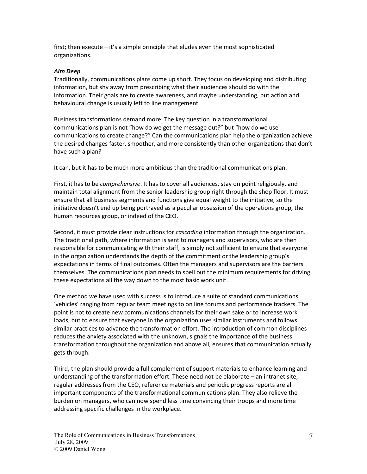first; then execute – it's a simple principle that eludes even the most sophisticated organizations.

#### *Aim%Deep*

Traditionally, communications plans come up short. They focus on developing and distributing information, but shy away from prescribing what their audiences should do with the information. Their goals are to create awareness, and maybe understanding, but action and behavioural change is usually left to line management.

Business transformations demand more. The key question in a transformational communications plan is not "how do we get the message out?" but "how do we use communications to create change?" Can the communications plan help the organization achieve the desired changes faster, smoother, and more consistently than other organizations that don't have such a plan?

It can, but it has to be much more ambitious than the traditional communications plan.

First, it has to be *comprehensive*. It has to cover all audiences, stay on point religiously, and maintain total alignment from the senior leadership group right through the shop floor. It must ensure that all business segments and functions give equal weight to the initiative, so the initiative doesn't end up being portrayed as a peculiar obsession of the operations group, the human resources group, or indeed of the CEO.

Second, it must provide clear instructions for *cascading* information through the organization. The traditional path, where information is sent to managers and supervisors, who are then responsible for communicating with their staff, is simply not sufficient to ensure that everyone in the organization understands the depth of the commitment or the leadership group's expectations in terms of final outcomes. Often the managers and supervisors are the barriers themselves. The communications plan needs to spell out the minimum requirements for driving these expectations all the way down to the most basic work unit.

One method we have used with success is to introduce a suite of standard communications 'vehicles' ranging from regular team meetings to on line forums and performance trackers. The point is not to create new communications channels for their own sake or to increase work loads, but to ensure that everyone in the organization uses similar instruments and follows similar practices to advance the transformation effort. The introduction of common disciplines reduces the anxiety associated with the unknown, signals the importance of the business transformation throughout the organization and above all, ensures that communication actually gets through.

Third, the plan should provide a full complement of support materials to enhance learning and understanding of the transformation effort. These need not be elaborate  $-$  an intranet site, regular addresses from the CEO, reference materials and periodic progress reports are all important components of the transformational communications plan. They also relieve the burden on managers, who can now spend less time convincing their troops and more time addressing specific challenges in the workplace.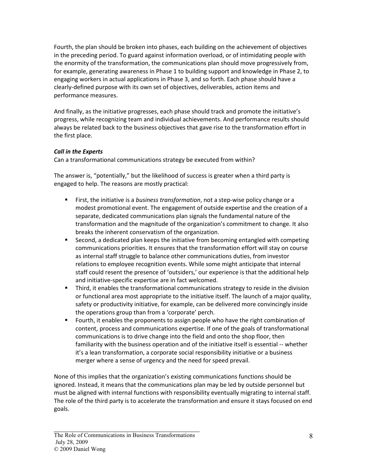Fourth, the plan should be broken into phases, each building on the achievement of objectives in the preceding period. To guard against information overload, or of intimidating people with the enormity of the transformation, the communications plan should move progressively from, for example, generating awareness in Phase 1 to building support and knowledge in Phase 2, to engaging workers in actual applications in Phase 3, and so forth. Each phase should have a clearly-defined purpose with its own set of objectives, deliverables, action items and performance measures.

And finally, as the initiative progresses, each phase should track and promote the initiative's progress, while recognizing team and individual achievements. And performance results should always be related back to the business objectives that gave rise to the transformation effort in the first place.

## *Call in the Experts*

Can a transformational communications strategy be executed from within?

The answer is, "potentially," but the likelihood of success is greater when a third party is engaged to help. The reasons are mostly practical:

- First, the initiative is a *business transformation*, not a step-wise policy change or a modest promotional event. The engagement of outside expertise and the creation of a separate, dedicated communications plan signals the fundamental nature of the transformation and the magnitude of the organization's commitment to change. It also breaks the inherent conservatism of the organization.
- **Second, a dedicated plan keeps the initiative from becoming entangled with competing** communications priorities. It ensures that the transformation effort will stay on course as internal staff struggle to balance other communications duties, from investor relations to employee recognition events. While some might anticipate that internal staff could resent the presence of 'outsiders,' our experience is that the additional help and initiative-specific expertise are in fact welcomed.
- Third, it enables the transformational communications strategy to reside in the division or functional area most appropriate to the initiative itself. The launch of a major quality, safety or productivity initiative, for example, can be delivered more convincingly inside the operations group than from a 'corporate' perch.
- Fourth, it enables the proponents to assign people who have the right combination of content, process and communications expertise. If one of the goals of transformational communications is to drive change into the field and onto the shop floor, then familiarity with the business operation and of the initiative itself is essential -- whether it's a lean transformation, a corporate social responsibility initiative or a business merger where a sense of urgency and the need for speed prevail.

None of this implies that the organization's existing communications functions should be ignored. Instead, it means that the communications plan may be led by outside personnel but must be aligned with internal functions with responsibility eventually migrating to internal staff. The role of the third party is to accelerate the transformation and ensure it stays focused on end goals.